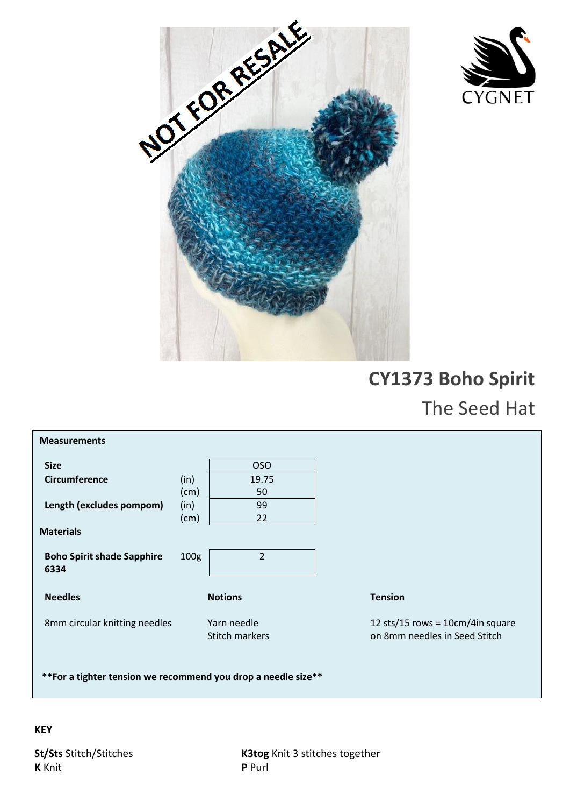



## **CY1373 Boho Spirit**

The Seed Hat

| <b>Measurements</b>                                            |                  |                               |                                                                   |
|----------------------------------------------------------------|------------------|-------------------------------|-------------------------------------------------------------------|
| <b>Size</b>                                                    |                  | <b>OSO</b>                    |                                                                   |
| Circumference                                                  | (in)             | 19.75                         |                                                                   |
|                                                                | (cm)             | 50                            |                                                                   |
| Length (excludes pompom)                                       | (in)             | 99                            |                                                                   |
|                                                                | (cm)             | 22                            |                                                                   |
| <b>Materials</b>                                               |                  |                               |                                                                   |
| <b>Boho Spirit shade Sapphire</b><br>6334                      | 100 <sub>g</sub> | $\overline{2}$                |                                                                   |
| <b>Needles</b>                                                 |                  | <b>Notions</b>                | <b>Tension</b>                                                    |
| 8mm circular knitting needles                                  |                  | Yarn needle<br>Stitch markers | 12 sts/15 rows = 10cm/4in square<br>on 8mm needles in Seed Stitch |
| ** For a tighter tension we recommend you drop a needle size** |                  |                               |                                                                   |